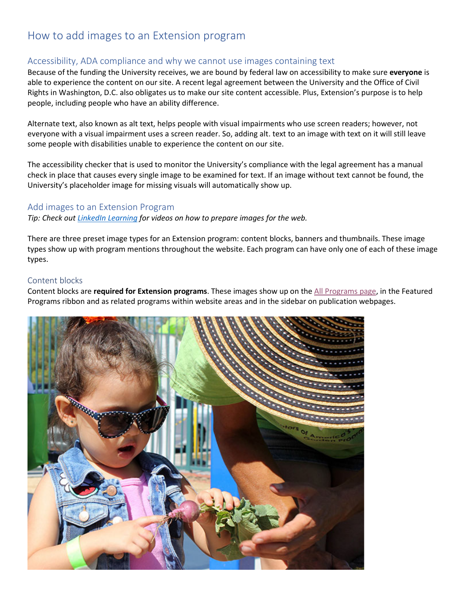# How to add images to an Extension program

## Accessibility, ADA compliance and why we cannot use images containing text

Because of the funding the University receives, we are bound by federal law on accessibility to make sure **everyone** is able to experience the content on our site. A recent legal agreement between the University and the Office of Civil Rights in Washington, D.C. also obligates us to make our site content accessible. Plus, Extension's purpose is to help people, including people who have an ability difference.

Alternate text, also known as alt text, helps people with visual impairments who use screen readers; however, not everyone with a visual impairment uses a screen reader. So, adding alt. text to an image with text on it will still leave some people with disabilities unable to experience the content on our site.

The accessibility checker that is used to monitor the University's compliance with the legal agreement has a manual check in place that causes every single image to be examined for text. If an image without text cannot be found, the University's placeholder image for missing visuals will automatically show up.

#### Add images to an Extension Program

*Tip: Check out [LinkedIn Learning](https://www.linkedin.com/learning/) for videos on how to prepare images for the web.*

There are three preset image types for an Extension program: content blocks, banners and thumbnails. These image types show up with program mentions throughout the website. Each program can have only one of each of these image types.

#### Content blocks

Content blocks are **required for Extension programs**. These images show up on the [All Programs page,](https://extension.unr.edu/programs.aspx) in the Featured Programs ribbon and as related programs within website areas and in the sidebar on publication webpages.

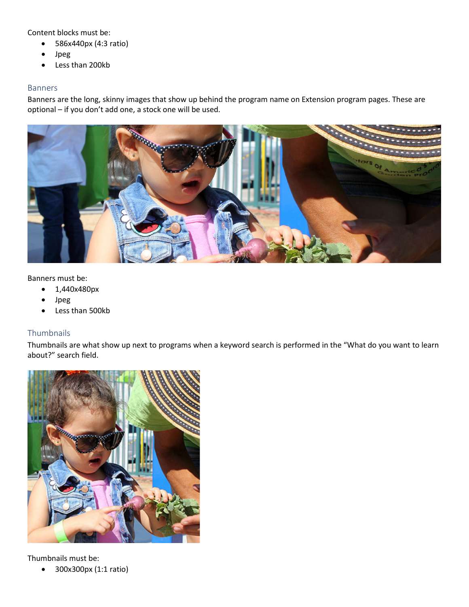Content blocks must be:

- 586x440px (4:3 ratio)
- Jpeg
- Less than 200kb

#### Banners

Banners are the long, skinny images that show up behind the program name on Extension program pages. These are optional – if you don't add one, a stock one will be used.



Banners must be:

- 1,440x480px
- Jpeg
- Less than 500kb

### **Thumbnails**

Thumbnails are what show up next to programs when a keyword search is performed in the "What do you want to learn about?" search field.



Thumbnails must be:

• 300x300px (1:1 ratio)